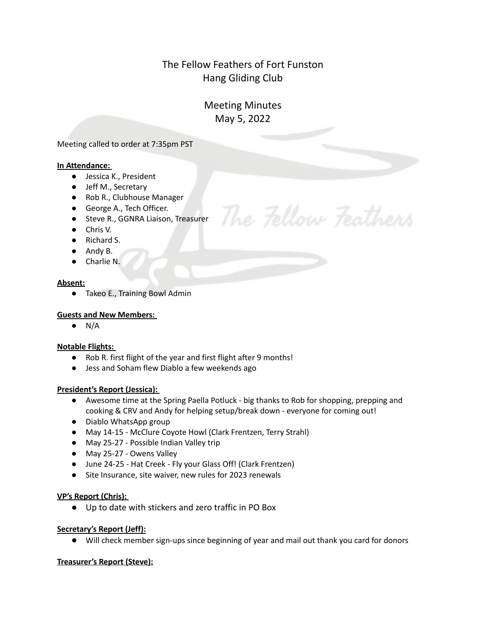# The Fellow Feathers of Fort Funston Hang Gliding Club

# Meeting Minutes May 5, 2022

The Fellow Feathers

Meeting called to order at 7:35pm PST

#### **In Attendance:**

- Jessica K., President
- Jeff M., Secretary
- Rob R., Clubhouse Manager
- George A., Tech Officer.
- Steve R., GGNRA Liaison, Treasurer
- Chris V.
- Richard S.
- Andy B.
- Charlie N.

#### **Absent:**

● Takeo E., Training Bowl Admin

#### **Guests and New Members:**

 $\bullet$  N/A

#### **Notable Flights:**

- Rob R. first flight of the year and first flight after 9 months!
- Jess and Soham flew Diablo a few weekends ago

#### **President's Report (Jessica):**

- Awesome time at the Spring Paella Potluck big thanks to Rob for shopping, prepping and cooking & CRV and Andy for helping setup/break down - everyone for coming out!
- Diablo WhatsApp group
- May 14-15 McClure Coyote Howl (Clark Frentzen, Terry Strahl)
- May 25-27 Possible Indian Valley trip
- May 25-27 Owens Valley
- June 24-25 Hat Creek Fly your Glass Off! (Clark Frentzen)
- Site Insurance, site waiver, new rules for 2023 renewals

#### **VP's Report (Chris):**

● Up to date with stickers and zero traffic in PO Box

#### **Secretary's Report (Jeff):**

● Will check member sign-ups since beginning of year and mail out thank you card for donors

#### **Treasurer's Report (Steve):**